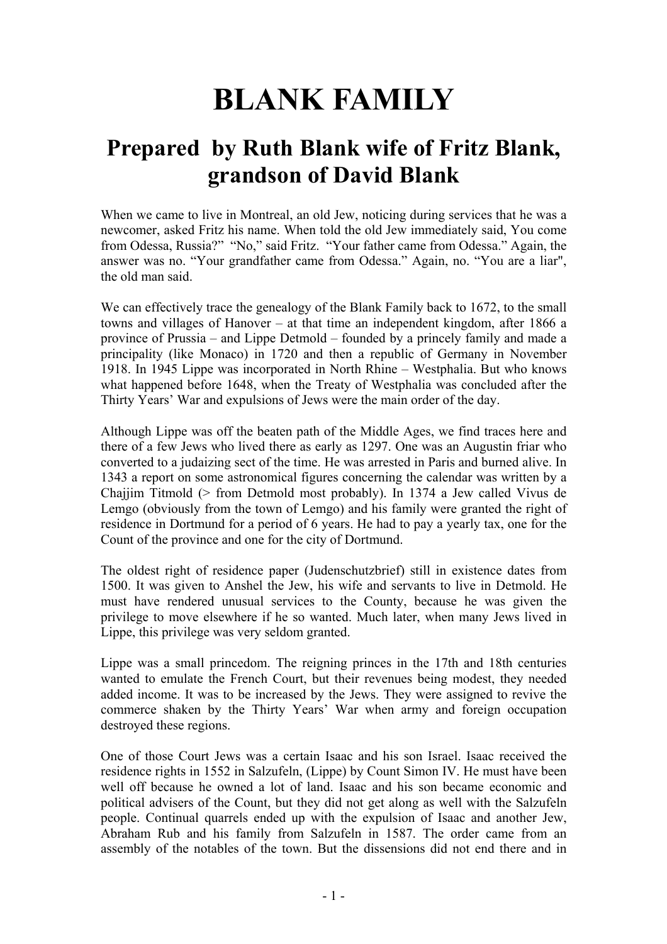# **BLANK FAMILY**

## **Prepared by Ruth Blank wife of Fritz Blank, grandson of David Blank**

When we came to live in Montreal, an old Jew, noticing during services that he was a newcomer, asked Fritz his name. When told the old Jew immediately said, You come from Odessa, Russia?" "No," said Fritz. "Your father came from Odessa." Again, the answer was no. "Your grandfather came from Odessa." Again, no. "You are a liar", the old man said.

We can effectively trace the genealogy of the Blank Family back to 1672, to the small towns and villages of Hanover – at that time an independent kingdom, after 1866 a province of Prussia – and Lippe Detmold – founded by a princely family and made a principality (like Monaco) in 1720 and then a republic of Germany in November 1918. In 1945 Lippe was incorporated in North Rhine – Westphalia. But who knows what happened before 1648, when the Treaty of Westphalia was concluded after the Thirty Years' War and expulsions of Jews were the main order of the day.

Although Lippe was off the beaten path of the Middle Ages, we find traces here and there of a few Jews who lived there as early as 1297. One was an Augustin friar who converted to a judaizing sect of the time. He was arrested in Paris and burned alive. In 1343 a report on some astronomical figures concerning the calendar was written by a Chajjim Titmold (> from Detmold most probably). In 1374 a Jew called Vivus de Lemgo (obviously from the town of Lemgo) and his family were granted the right of residence in Dortmund for a period of 6 years. He had to pay a yearly tax, one for the Count of the province and one for the city of Dortmund.

The oldest right of residence paper (Judenschutzbrief) still in existence dates from 1500. It was given to Anshel the Jew, his wife and servants to live in Detmold. He must have rendered unusual services to the County, because he was given the privilege to move elsewhere if he so wanted. Much later, when many Jews lived in Lippe, this privilege was very seldom granted.

Lippe was a small princedom. The reigning princes in the 17th and 18th centuries wanted to emulate the French Court, but their revenues being modest, they needed added income. It was to be increased by the Jews. They were assigned to revive the commerce shaken by the Thirty Years' War when army and foreign occupation destroyed these regions.

One of those Court Jews was a certain Isaac and his son Israel. Isaac received the residence rights in 1552 in Salzufeln, (Lippe) by Count Simon IV. He must have been well off because he owned a lot of land. Isaac and his son became economic and political advisers of the Count, but they did not get along as well with the Salzufeln people. Continual quarrels ended up with the expulsion of Isaac and another Jew, Abraham Rub and his family from Salzufeln in 1587. The order came from an assembly of the notables of the town. But the dissensions did not end there and in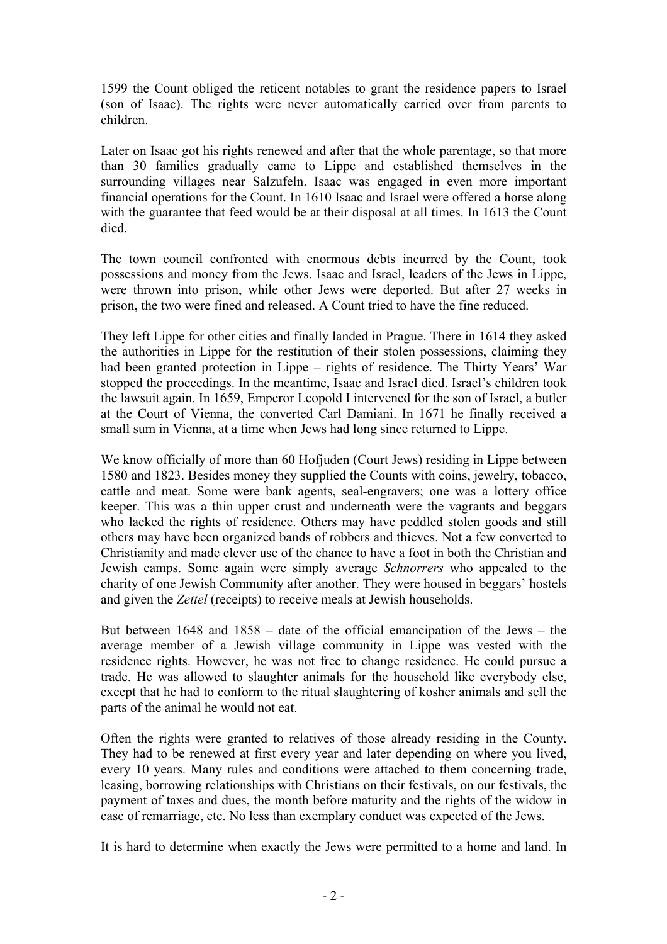1599 the Count obliged the reticent notables to grant the residence papers to Israel (son of Isaac). The rights were never automatically carried over from parents to children.

Later on Isaac got his rights renewed and after that the whole parentage, so that more than 30 families gradually came to Lippe and established themselves in the surrounding villages near Salzufeln. Isaac was engaged in even more important financial operations for the Count. In 1610 Isaac and Israel were offered a horse along with the guarantee that feed would be at their disposal at all times. In 1613 the Count died.

The town council confronted with enormous debts incurred by the Count, took possessions and money from the Jews. Isaac and Israel, leaders of the Jews in Lippe, were thrown into prison, while other Jews were deported. But after 27 weeks in prison, the two were fined and released. A Count tried to have the fine reduced.

They left Lippe for other cities and finally landed in Prague. There in 1614 they asked the authorities in Lippe for the restitution of their stolen possessions, claiming they had been granted protection in Lippe – rights of residence. The Thirty Years' War stopped the proceedings. In the meantime, Isaac and Israel died. Israel's children took the lawsuit again. In 1659, Emperor Leopold I intervened for the son of Israel, a butler at the Court of Vienna, the converted Carl Damiani. In 1671 he finally received a small sum in Vienna, at a time when Jews had long since returned to Lippe.

We know officially of more than 60 Hofjuden (Court Jews) residing in Lippe between 1580 and 1823. Besides money they supplied the Counts with coins, jewelry, tobacco, cattle and meat. Some were bank agents, seal-engravers; one was a lottery office keeper. This was a thin upper crust and underneath were the vagrants and beggars who lacked the rights of residence. Others may have peddled stolen goods and still others may have been organized bands of robbers and thieves. Not a few converted to Christianity and made clever use of the chance to have a foot in both the Christian and Jewish camps. Some again were simply average *Schnorrers* who appealed to the charity of one Jewish Community after another. They were housed in beggars' hostels and given the *Zettel* (receipts) to receive meals at Jewish households.

But between 1648 and 1858 – date of the official emancipation of the Jews – the average member of a Jewish village community in Lippe was vested with the residence rights. However, he was not free to change residence. He could pursue a trade. He was allowed to slaughter animals for the household like everybody else, except that he had to conform to the ritual slaughtering of kosher animals and sell the parts of the animal he would not eat.

Often the rights were granted to relatives of those already residing in the County. They had to be renewed at first every year and later depending on where you lived, every 10 years. Many rules and conditions were attached to them concerning trade, leasing, borrowing relationships with Christians on their festivals, on our festivals, the payment of taxes and dues, the month before maturity and the rights of the widow in case of remarriage, etc. No less than exemplary conduct was expected of the Jews.

It is hard to determine when exactly the Jews were permitted to a home and land. In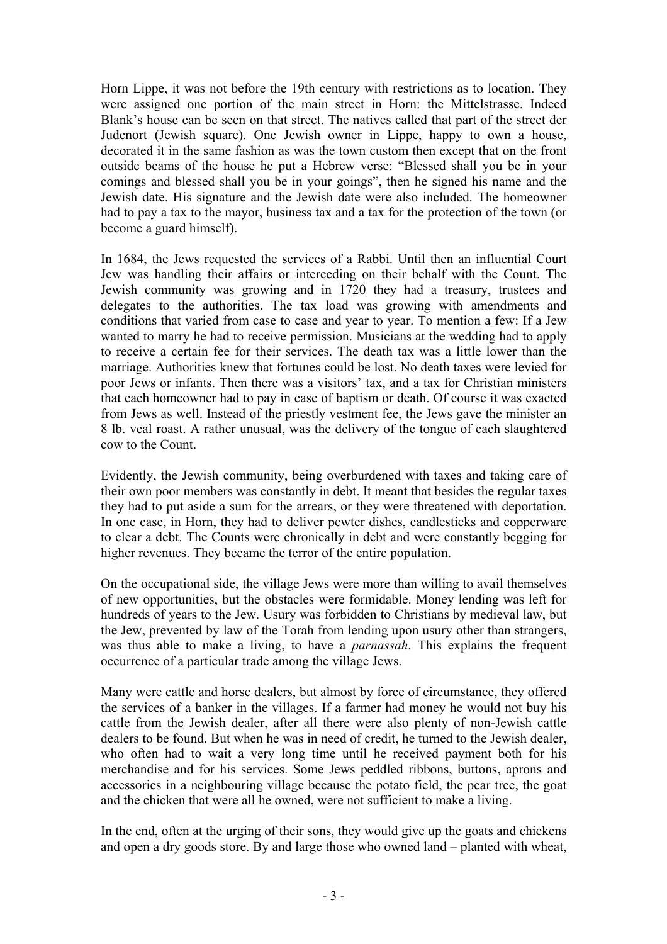Horn Lippe, it was not before the 19th century with restrictions as to location. They were assigned one portion of the main street in Horn: the Mittelstrasse. Indeed Blank's house can be seen on that street. The natives called that part of the street der Judenort (Jewish square). One Jewish owner in Lippe, happy to own a house, decorated it in the same fashion as was the town custom then except that on the front outside beams of the house he put a Hebrew verse: "Blessed shall you be in your comings and blessed shall you be in your goings", then he signed his name and the Jewish date. His signature and the Jewish date were also included. The homeowner had to pay a tax to the mayor, business tax and a tax for the protection of the town (or become a guard himself).

In 1684, the Jews requested the services of a Rabbi. Until then an influential Court Jew was handling their affairs or interceding on their behalf with the Count. The Jewish community was growing and in 1720 they had a treasury, trustees and delegates to the authorities. The tax load was growing with amendments and conditions that varied from case to case and year to year. To mention a few: If a Jew wanted to marry he had to receive permission. Musicians at the wedding had to apply to receive a certain fee for their services. The death tax was a little lower than the marriage. Authorities knew that fortunes could be lost. No death taxes were levied for poor Jews or infants. Then there was a visitors' tax, and a tax for Christian ministers that each homeowner had to pay in case of baptism or death. Of course it was exacted from Jews as well. Instead of the priestly vestment fee, the Jews gave the minister an 8 lb. veal roast. A rather unusual, was the delivery of the tongue of each slaughtered cow to the Count.

Evidently, the Jewish community, being overburdened with taxes and taking care of their own poor members was constantly in debt. It meant that besides the regular taxes they had to put aside a sum for the arrears, or they were threatened with deportation. In one case, in Horn, they had to deliver pewter dishes, candlesticks and copperware to clear a debt. The Counts were chronically in debt and were constantly begging for higher revenues. They became the terror of the entire population.

On the occupational side, the village Jews were more than willing to avail themselves of new opportunities, but the obstacles were formidable. Money lending was left for hundreds of years to the Jew. Usury was forbidden to Christians by medieval law, but the Jew, prevented by law of the Torah from lending upon usury other than strangers, was thus able to make a living, to have a *parnassah*. This explains the frequent occurrence of a particular trade among the village Jews.

Many were cattle and horse dealers, but almost by force of circumstance, they offered the services of a banker in the villages. If a farmer had money he would not buy his cattle from the Jewish dealer, after all there were also plenty of non-Jewish cattle dealers to be found. But when he was in need of credit, he turned to the Jewish dealer, who often had to wait a very long time until he received payment both for his merchandise and for his services. Some Jews peddled ribbons, buttons, aprons and accessories in a neighbouring village because the potato field, the pear tree, the goat and the chicken that were all he owned, were not sufficient to make a living.

In the end, often at the urging of their sons, they would give up the goats and chickens and open a dry goods store. By and large those who owned land – planted with wheat,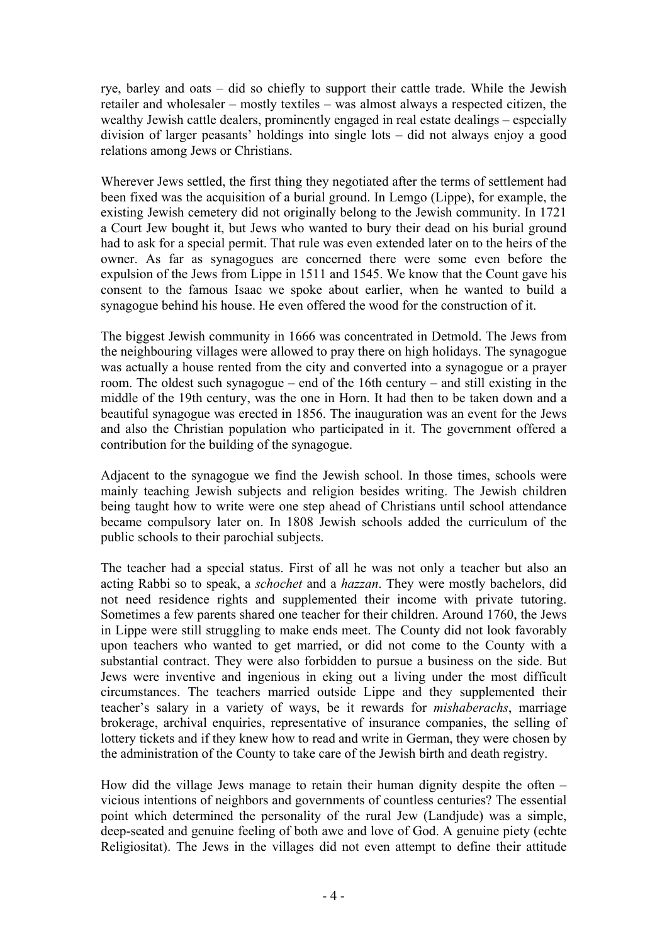rye, barley and oats – did so chiefly to support their cattle trade. While the Jewish retailer and wholesaler – mostly textiles – was almost always a respected citizen, the wealthy Jewish cattle dealers, prominently engaged in real estate dealings – especially division of larger peasants' holdings into single lots – did not always enjoy a good relations among Jews or Christians.

Wherever Jews settled, the first thing they negotiated after the terms of settlement had been fixed was the acquisition of a burial ground. In Lemgo (Lippe), for example, the existing Jewish cemetery did not originally belong to the Jewish community. In 1721 a Court Jew bought it, but Jews who wanted to bury their dead on his burial ground had to ask for a special permit. That rule was even extended later on to the heirs of the owner. As far as synagogues are concerned there were some even before the expulsion of the Jews from Lippe in 1511 and 1545. We know that the Count gave his consent to the famous Isaac we spoke about earlier, when he wanted to build a synagogue behind his house. He even offered the wood for the construction of it.

The biggest Jewish community in 1666 was concentrated in Detmold. The Jews from the neighbouring villages were allowed to pray there on high holidays. The synagogue was actually a house rented from the city and converted into a synagogue or a prayer room. The oldest such synagogue – end of the 16th century – and still existing in the middle of the 19th century, was the one in Horn. It had then to be taken down and a beautiful synagogue was erected in 1856. The inauguration was an event for the Jews and also the Christian population who participated in it. The government offered a contribution for the building of the synagogue.

Adjacent to the synagogue we find the Jewish school. In those times, schools were mainly teaching Jewish subjects and religion besides writing. The Jewish children being taught how to write were one step ahead of Christians until school attendance became compulsory later on. In 1808 Jewish schools added the curriculum of the public schools to their parochial subjects.

The teacher had a special status. First of all he was not only a teacher but also an acting Rabbi so to speak, a *schochet* and a *hazzan*. They were mostly bachelors, did not need residence rights and supplemented their income with private tutoring. Sometimes a few parents shared one teacher for their children. Around 1760, the Jews in Lippe were still struggling to make ends meet. The County did not look favorably upon teachers who wanted to get married, or did not come to the County with a substantial contract. They were also forbidden to pursue a business on the side. But Jews were inventive and ingenious in eking out a living under the most difficult circumstances. The teachers married outside Lippe and they supplemented their teacher's salary in a variety of ways, be it rewards for *mishaberachs*, marriage brokerage, archival enquiries, representative of insurance companies, the selling of lottery tickets and if they knew how to read and write in German, they were chosen by the administration of the County to take care of the Jewish birth and death registry.

How did the village Jews manage to retain their human dignity despite the often – vicious intentions of neighbors and governments of countless centuries? The essential point which determined the personality of the rural Jew (Landjude) was a simple, deep-seated and genuine feeling of both awe and love of God. A genuine piety (echte Religiositat). The Jews in the villages did not even attempt to define their attitude